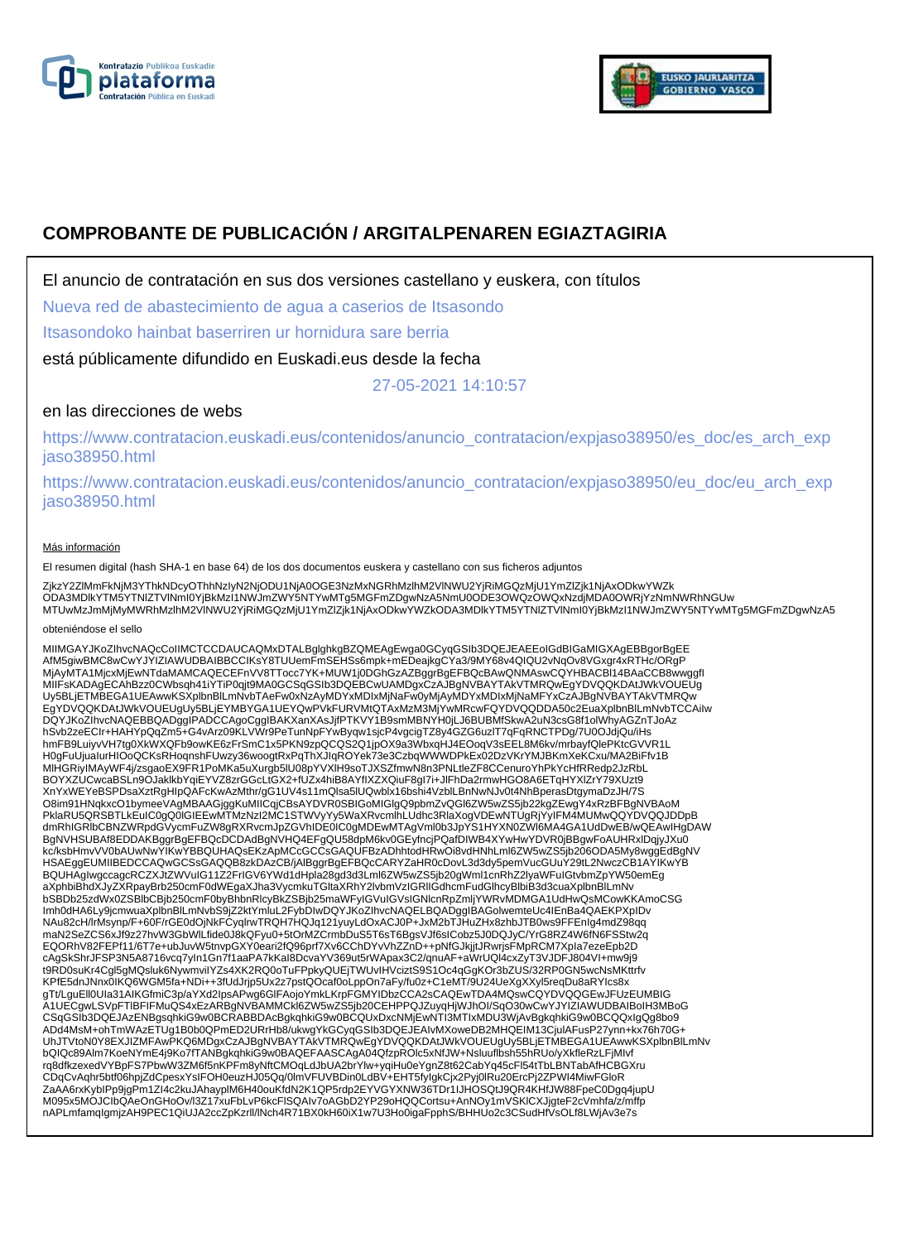



# **COMPROBANTE DE PUBLICACIÓN / ARGITALPENAREN EGIAZTAGIRIA**

El anuncio de contratación en sus dos versiones castellano y euskera, con títulos

Nueva red de abastecimiento de agua a caserios de Itsasondo

Itsasondoko hainbat baserriren ur hornidura sare berria

está públicamente difundido en Euskadi.eus desde la fecha

27-05-2021 14:10:57

## en las direcciones de webs

https://www.contratacion.euskadi.eus/contenidos/anuncio\_contratacion/expjaso38950/es\_doc/es\_arch\_exp jaso38950.html

https://www.contratacion.euskadi.eus/contenidos/anuncio\_contratacion/expjaso38950/eu\_doc/eu\_arch\_exp jaso38950.html

### Más información

El resumen digital (hash SHA-1 en base 64) de los dos documentos euskera y castellano con sus ficheros adjuntos

ZjkzY2ZlMmFkNjM3YThkNDcyOThhNzIyN2NjODU1NjA0OGE3NzMxNGRhMzlhM2VlNWU2YjRiMGQzMjU1YmZlZjk1NjAxODkwYWZk<br>ODA3MDlkYTM5YTNIZTVlNmI0YjBkMzI1NWJmZWY5NTYwMTg5MGFmZDgwNzA5NmU0ODE3OWQzOWQxNzdjMDA0OWRjYzNmNWRhNGUw MTUwMzJmMjMyMWRhMzlhM2VlNWU2YjRiMGQzMjU1YmZlZjk1NjAxODkwYWZkODA3MDlkYTM5YTNlZTVlNmI0YjBkMzI1NWJmZWY5NTYwMTg5MGFmZDgwNzA5

#### obteniéndose el sello

MIIMGAYJKoZIhvcNAQcCoIIMCTCCDAUCAQMxDTALBglghkgBZQMEAgEwga0GCyqGSIb3DQEJEAEEoIGdBIGaMIGXAgEBBgorBgEE<br>AfM5giwBMC8wCwYJYIZIAWUDBAIBBCCIKsY8TUUemFmSEHSs6mpk+mEDeajkgCYa3/9MY68v4QIQU2vNqOv8VGxgr4xRTHc/ORgP<br>MjAyMTA1MjcxMjEwNTda Uy5BLjETMBEGA1UEAwwKSXplbnBlLmNvbTAeFw0xNzAyMDYxMDIxMjNaFw0yMjAyMDYxMDIxMjNaMFYxCzAJBgNVBAYTAkVTMRQw EgYDVQQKDAtJWkVOUEUgUy5BLjEYMBYGA1UEYQwPVkFURVMtQTAxMzM3MjYwMRcwFQYDVQQDDA50c2EuaXplbnBlLmNvbTCCAiIw DQYJKoZIhvcNAQEBBQADggIPADCCAgoCggIBAKXanXAsJjfPTKVY1B9smMBNYH0jLJ6BUBMfSkwA2uN3csG8f1olWhyAGZnTJoAz hSvb2zeECIr+HAHYpQqZm5+G4vArz09KLVWr9PeTunNpFYwByqw1sjcP4vgcigTZ8y4GZG6uzlT7qFqRNCTPDg/7U0OJdjQu/iHs hmFB9LuiyvVH7tg0XkWXQFb9owKE6zFrSmC1x5PKN9zpQCQS2Q1jpOX9a3WbxqHJ4EOoqV3sEEL8M6kv/mrbayfQlePKtcGVVR1L<br>H0gFuUjualurHlOoQCKsRHoqnshFUwzy36woogtRxPqThXJIqROYek73e3CzbqWWWDPkEx02DzVKrYMJBKmXeKCxu/MA2BiFfv1B<br>MIHGRiyIMAyWF4j/zsga XnYxWEYeBSPDsaXztRgHIpQAFcKwAzMthr/gG1UV4s11mQlsa5lUQwblx16bshi4VzblLBnNwNJv0t4NhBperasDtgymaDzJH/7S O8im91HNqkxcO1bymeeVAgMBAAGjggKuMIICqjCBsAYDVR0SBIGoMIGlgQ9pbmZvQGl6ZW5wZS5jb22kgZEwgY4xRzBFBgNVBAoM PklaRU5QRSBTLkEuIC0gQ0lGIEEwMTMzNzI2MC1STWVyYy5WaXRvcmlhLUdhc3RlaXogVDEwNTUgRjYyIFM4MUMwQQYDVQQJDDpB dmRhIGRlbCBNZWRpdGVycmFuZW8gRXRvcmJpZGVhIDE0IC0gMDEwMTAgVml0b3JpYS1HYXN0ZWl6MA4GA1UdDwEB/wQEAwIHgDAW BgNVHSUBAf8EDDAKBggrBgEFBQcDCDAdBgNVHQ4EFgQU58dpM6kv0GEyfncjPQafDIWB4XYwHwYDVR0jBBgwFoAUHRxlDqjyJXu0<br>kc/ksbHmvVV0bAUwNwYIKwYBBQUHAQsEKzApMCcGCCsGAQUFBzADhhtodHRwOi8vdHNhLml6ZW5wZS5jb206ODA5My8wggEdBgNV HSAEggEUMIIBEDCCAQwGCSsGAQQB8zkDAzCB/jAlBggrBgEFBQcCARYZaHR0cDovL3d3dy5pemVucGUuY29tL2NwczCB1AYIKwYB BQUHAgIwgccagcRCZXJtZWVuIG11Z2FrIGV6YWd1dHpla28gd3d3Lml6ZW5wZS5jb20gWml1cnRhZ2lyaWFuIGtvbmZpYW50emEg aXphbiBhdXJyZXRpayBrb250cmF0dWEgaXJha3VycmkuTGltaXRhY2lvbmVzIGRlIGdhcmFudGlhcyBlbiB3d3cuaXplbnBlLmNv bSBDb25zdWx0ZSBlbCBjb250cmF0byBhbnRlcyBkZSBjb25maWFyIGVuIGVsIGNlcnRpZmljYWRvMDMGA1UdHwQsMCowKKAmoCSG Imh0dHA6Ly9jcmwuaXplbnBlLmNvbS9jZ2ktYmluL2FybDIwDQYJKoZIhvcNAQELBQADggIBAGolwemteUc4IEnBa4QAEKPXpIDv NAu82cH/lrMsynp/F+60F/rGE0dOjNkFCyqlrwTRQH7HQJq121yuyLdOxACJ0P+JxM2bTJHuZHx8zhbJTB0ws9FFEnIg4mdZ98qq maN2SeZCS6xJf9z27hvW3GbWlLfide0J8kQFyu0+5tOrMZCrmbDuS5T6sT6BgsVJf6sICobz5J0DQJyC/YrG8RZ4W6fN6FSStw2q EQORhV82FEPf11/6T7e+ubJuvW5tnvpGXY0eari2fQ96prf7Xv6CChDYvVhZZnD++pNfGJkjjtJRwrjsFMpRCM7Xpla7ezeEpb2D<br>cAgSkShrJFSP3N5A8716vcq7yIn1Gn7f1aaPA7kKaI8DcvaYV369ut5rWApax3C2/qnuAF+aWrUQl4cxZyT3VJDFJ804VI+mw9j9<br>t9RD0suKr4Cgl5gMQslu KPfE5dnJNnx0IKQ6WGM5fa+NDi++3fUdJrjp5Ux2z7pstQOcaf0oLppOn7aFy/fu0z+C1eMT/9U24UeXgXXyl5reqDu8aRYIcs8x gTt/LguEll0UIa31AIKGfmiC3p/aYXd2IpsAPwg6GlFAojoYmkLKrpFGMYIDbzCCA2sCAQEwTDA4MQswCQYDVQQGEwJFUzEUMBIG A1UECgwLSVpFTlBFIFMuQS4xEzARBgNVBAMMCkl6ZW5wZS5jb20CEHPPQJZuyqHjWJhOI/SqO30wCwYJYIZIAWUDBAIBoIH3MBoG CSqGSIb3DQEJAzENBgsqhkiG9w0BCRABBDAcBgkqhkiG9w0BCQUxDxcNMjEwNTI3MTIxMDU3WjAvBgkqhkiG9w0BCQQxIgQg8bo9 ADd4MsM+ohTmWAzETUg1B0b0QPmED2URrHb8/ukwgYkGCyqGSIb3DQEJEAIvMXoweDB2MHQEIM13CjulAFusP27ynn+kx76h70G+ UhJTVtoN0Y8EXJIZMFAwPKQ6MDgxCzAJBgNVBAYTAkVTMRQwEgYDVQQKDAtJWkVOUEUgUy5BLjETMBEGA1UEAwwKSXplbnBlLmNv bQIQc89AIm7KoeNYmE4j9Ko7fTANBgkqhkiG9w0BAQEFAASCAgA04QfzpROlc5xNfJW+Nsluuflbsh55hRUo/yXkfleRzLFjMIvf<br>rq8dfkzexedVYBpFS7PbwW3ZM6f5nKPFm8yNftCMOqLdJbUA2brYlw+yqiHu0eYgnZ8t62CabYq45cFl54tTbLBNTabAfHCBGXru CDqCvAqhr5btf06hpjZdCpesxYsIFOH0euzHJ05Qq/0lmVFUVBDin0LdBV+EHT5fyIgkCjx2Pyj0lRu20ErcPj2ZPWI4MiwFGloR<br>ZaAA6rxKybIPp9jgPm1Zl4c2kuJAhayplM6H40ouKfdN2K1QP5rdp2EYVGYXNW36TDr1IJHOSQtJ9QR4KHfJW88FpeC0Dgq4jupU M095x5MOJCIbQAeOnGHoOv/l3Z17xuFbLvP6kcFlSQAIv7oAGbD2YP29oHQQCortsu+AnNOy1mVSKlCXJjgteF2cVmhfa/z/mffp nAPLmfamqIgmjzAH9PEC1QiUJA2ccZpKzrll/lNch4R71BX0kH60iX1w7U3Ho0igaFpphS/BHHUo2c3CSudHfVsOLf8LWjAv3e7s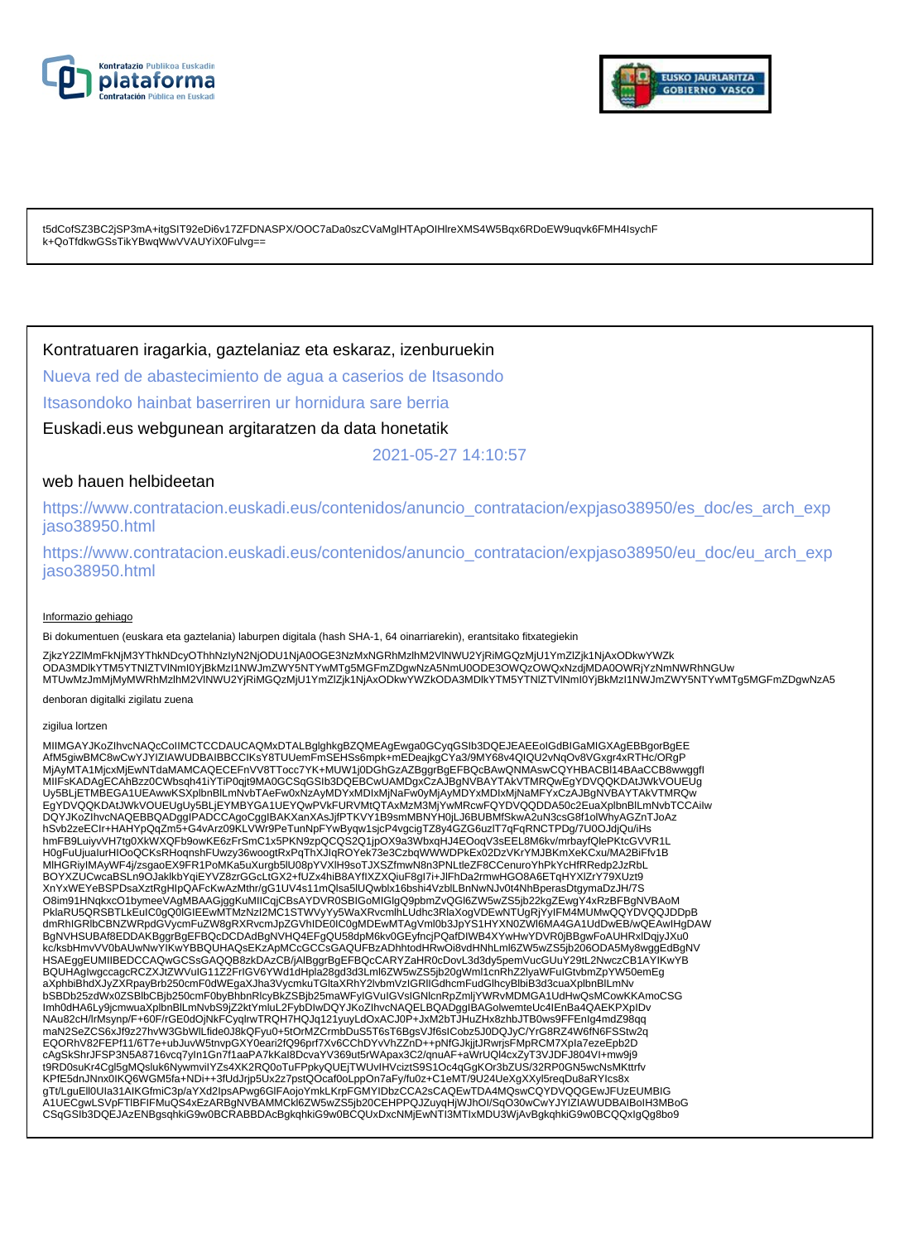



t5dCofSZ3BC2jSP3mA+itgSIT92eDi6v17ZFDNASPX/OOC7aDa0szCVaMglHTApOIHlreXMS4W5Bqx6RDoEW9uqvk6FMH4IsychF k+QoTfdkwGSsTikYBwqWwVVAUYiX0Fulvg==

### Kontratuaren iragarkia, gaztelaniaz eta eskaraz, izenburuekin

Nueva red de abastecimiento de agua a caserios de Itsasondo

Itsasondoko hainbat baserriren ur hornidura sare berria

Euskadi.eus webgunean argitaratzen da data honetatik

2021-05-27 14:10:57

### web hauen helbideetan

https://www.contratacion.euskadi.eus/contenidos/anuncio\_contratacion/expjaso38950/es\_doc/es\_arch\_exp jaso38950.html

https://www.contratacion.euskadi.eus/contenidos/anuncio\_contratacion/expjaso38950/eu\_doc/eu\_arch\_exp jaso38950.html

### Informazio gehiago

Bi dokumentuen (euskara eta gaztelania) laburpen digitala (hash SHA-1, 64 oinarriarekin), erantsitako fitxategiekin

ZjkzY2ZlMmFkNjM3YThkNDcyOThhNzIyN2NjODU1NjA0OGE3NzMxNGRhMzlhM2VlNWU2YjRiMGQzMjU1YmZlZjk1NjAxODkwYWZk ODA3MDlkYTM5YTNIZTVlNmI0YjBkMzI1NWJmZWY5NTYwMTg5MGFmZDgwNzA5NmU0ODE3OWQzOWQxNzdjMDA0OWRjYzNmNWRhNGUw<br>MTUwMzJmMjMyMWRhMzlhM2VlNWU2YjRiMGQzMjU1YmZlZjk1NjAxODkwYWZkODA3MDlkYTM5YTNIZTVlNmI0YjBkMzI1NWJmZWY5NTYwMTg5MGFmZDgwNzA5

denboran digitalki zigilatu zuena

#### zigilua lortzen

MIIMGAYJKoZIhvcNAQcCoIIMCTCCDAUCAQMxDTALBglghkgBZQMEAgEwga0GCyqGSIb3DQEJEAEEoIGdBIGaMIGXAgEBBgorBgEE AfM5giwBMC8wCwYJYIZIAWUDBAIBBCCIKsY8TUUemFmSEHSs6mpk+mEDeajkgCYa3/9MY68v4QIQU2vNqOv8VGxgr4xRTHc/ORgP MjAyMTA1MjcxMjEwNTdaMAMCAQECEFnVV8TTocc7YK+MUW1j0DGhGzAZBggrBgEFBQcBAwQNMAswCQYHBACBl14BAaCCB8wwggfI MIIFsKADAgECAhBzz0CWbsqh41iYTiP0qjt9MA0GCSqGSIb3DQEBCwUAMDgxCzAJBgNVBAYTAkVTMRQwEgYDVQQKDAtJWkVOUEUg Uy5BLjETMBEGA1UEAwwKSXplbnBlLmNvbTAeFw0xNzAyMDYxMDIxMjNaFw0yMjAyMDYxMDIxMjNaMFYxCzAJBgNVBAYTAkVTMRQw EgYDVQQKDAtJWkVOUEUgUy5BLjEYMBYGA1UEYQwPVkFURVMtQTAxMzM3MjYwMRcwFQYDVQQDDA50c2EuaXplbnBlLmNvbTCCAiIw<br>DQYJKoZIhvcNAQEBBQADggIPADCCAgoCggIBAKXanXAsJjfPTKVY1B9smMBNYH0jLJ6BUBMfSkwA2uN3csG8f1olWhyAGZnTJoAz hSvb2zeECIr+HAHYpQqZm5+G4vArz09KLVWr9PeTunNpFYwByqw1sjcP4vgcigTZ8y4GZG6uzlT7qFqRNCTPDg/7U0OJdjQu/iHs hmFB9LuiyvVH7tg0XkWXQFb9owKE6zFrSmC1x5PKN9zpQCQS2Q1jpOX9a3WbxqHJ4EOoqV3sEEL8M6kv/mrbayfQlePKtcGVVR1L H0gFuUjuaIurHIOoQCKsRHoqnshFUwzy36woogtRxPqThXJIqROYek73e3CzbqWWWDPkEx02DzVKrYMJBKmXeKCxu/MA2BiFfv1B MlHGRiyIMAyWF4j/zsgaoEX9FR1PoMKa5uXurgb5lU08pYVXlH9soTJXSZfmwN8n3PNLtleZF8CCenuroYhPkYcHfRRedp2JzRbL BOYXZUCwcaBSLn9OJaklkbYqiEYVZ8zrGGcLtGX2+fUZx4hiB8AYfIXZXQiuF8gI7i+JlFhDa2rmwHGO8A6ETqHYXlZrY79XUzt9 XnYxWEYeBSPDsaXztRgHIpQAFcKwAzMthr/gG1UV4s11mQlsa5lUQwblx16bshi4VzblLBnNwNJv0t4NhBperasDtgymaDzJH/7S O8im91HNqkxcO1bymeeVAgMBAAGjggKuMIICqjCBsAYDVR0SBIGoMIGIgQ9pbmZvQGI6ZW5wZS5jb22kgZEwgY4xRzBFBgNVBAoM<br>PklaRU5QRSBTLkEuIC0gQ0IGIEEwMTMzNzI2MC1STWVyYy5WaXRvcmlhLUdhc3RlaXogVDEwNTUgRjYyIFM4MUMwQQYDVQQJDDpB dmRhIGRlbCBNZWRpdGVycmFuZW8gRXRvcmJpZGVhIDE0IC0gMDEwMTAgVml0b3JpYS1HYXN0ZWl6MA4GA1UdDwEB/wQEAwIHgDAW BgNVHSUBAf8EDDAKBggrBgEFBQcDCDAdBgNVHQ4EFgQU58dpM6kv0GEyfncjPQafDIWB4XYwHwYDVR0jBBgwFoAUHRxlDqjyJXu0 kc/ksbHmvVV0bAUwNwYIKwYBBQUHAQsEKzApMCcGCCsGAQUFBzADhhtodHRwOi8vdHNhLml6ZW5wZS5jb206ODA5My8wggEdBgNV HSAEggEUMIIBEDCCAQwGCSsGAQQB8zkDAzCB/jAlBggrBgEFBQcCARYZaHR0cDovL3d3dy5pemVucGUuY29tL2NwczCB1AYIKwYB BQUHAgIwgccagcRCZXJtZWVuIG11Z2FrIGV6YWd1dHpla28gd3d3Lml6ZW5wZS5jb20gWml1cnRhZ2lyaWFuIGtvbmZpYW50emEg aXphbiBhdXJyZXRpayBrb250cmF0dWEgaXJha3VycmkuTGltaXRhY2lvbmVzIGRlIGdhcmFudGlhcyBlbiB3d3cuaXplbnBlLmNv bSBDb25zdWx0ZSBlbCBjb250cmF0byBhbnRlcyBkZSBjb25maWFyIGVuIGVsIGNlcnRpZmljYWRvMDMGA1UdHwQsMCowKKAmoCSG Imh0dHA6Ly9jcmwuaXplbnBlLmNvbS9jZ2ktYmluL2FybDIwDQYJKoZIhvcNAQELBQADggIBAGolwemteUc4IEnBa4QAEKPXpIDv NAu82cH/lrMsynp/F+60F/rGE0dOjNkFCyqlrwTRQH7HQJq121yuyLdOxACJ0P+JxM2bTJHuZHx8zhbJTB0ws9FFEnIg4mdZ98qq maN2SeZCS6xJf9z27hvW3GbWlLfide0J8kQFyu0+5tOrMZCrmbDuS5T6sT6BgsVJf6sICobz5J0DQJyC/YrG8RZ4W6fN6FSStw2q EQORhV82FEPf11/6T7e+ubJuvW5tnvpGXY0eari2fQ96prf7Xv6CChDYvVhZZnD++pNfGJkjjtJRwrjsFMpRCM7XpIa7ezeEpb2D cAgSkShrJFSP3N5A8716vcq7yIn1Gn7f1aaPA7kKaI8DcvaYV369ut5rWApax3C2/qnuAF+aWrUQl4cxZyT3VJDFJ804VI+mw9j9 t9RD0suKr4Cgl5gMQsluk6NywmviIYZs4XK2RQ0oTuFPpkyQUEjTWUvIHVciztS9S1Oc4qGgKOr3bZUS/32RP0GN5wcNsMKttrfv KPfE5dnJNnx0IKQ6WGM5fa+NDi++3fUdJrjp5Ux2z7pstQOcaf0oLppOn7aFy/fu0z+C1eMT/9U24UeXgXXyl5reqDu8aRYIcs8x gTt/LguEll0Ula31AIKGfmiC3p/aYXd2lpsAPwg6GlFAojoYmkLKrpFGMYIDbzCCA2sCAQEwTDA4MQswCQYDVQQGEwJFUzEUMBIG<br>A1UECgwLSVpFTIBFIFMuQS4xEzARBgNVBAMMCkl6ZW5wZS5jb20CEHPPQJZuyqHjWJhOI/SqO30wCwYJYIZIAWUDBAIBoIH3MBoG CSqGSIb3DQEJAzENBgsqhkiG9w0BCRABBDAcBgkqhkiG9w0BCQUxDxcNMjEwNTI3MTIxMDU3WjAvBgkqhkiG9w0BCQQxIgQg8bo9